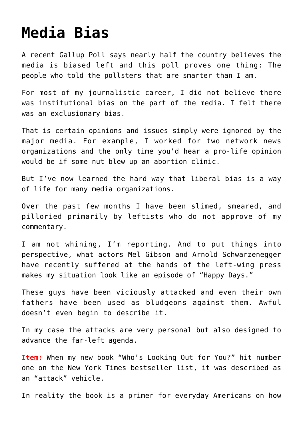## **[Media Bias](https://bernardgoldberg.com/media-bias/)**

A recent Gallup Poll says nearly half the country believes the media is biased left and this poll proves one thing: The people who told the pollsters that are smarter than I am.

For most of my journalistic career, I did not believe there was institutional bias on the part of the media. I felt there was an exclusionary bias.

That is certain opinions and issues simply were ignored by the major media. For example, I worked for two network news organizations and the only time you'd hear a pro-life opinion would be if some nut blew up an abortion clinic.

But I've now learned the hard way that liberal bias is a way of life for many media organizations.

Over the past few months I have been slimed, smeared, and pilloried primarily by leftists who do not approve of my commentary.

I am not whining, I'm reporting. And to put things into perspective, what actors Mel Gibson and Arnold Schwarzenegger have recently suffered at the hands of the left-wing press makes my situation look like an episode of "Happy Days."

These guys have been viciously attacked and even their own fathers have been used as bludgeons against them. Awful doesn't even begin to describe it.

In my case the attacks are very personal but also designed to advance the far-left agenda.

**Item:** When my new book "Who's Looking Out for You?" hit number one on the New York Times bestseller list, it was described as an "attack" vehicle.

In reality the book is a primer for everyday Americans on how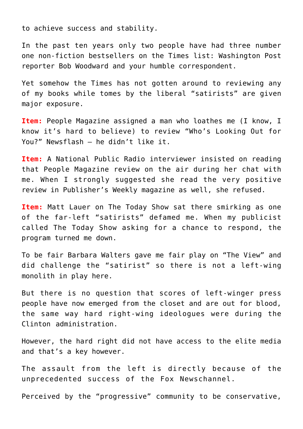to achieve success and stability.

In the past ten years only two people have had three number one non-fiction bestsellers on the Times list: Washington Post reporter Bob Woodward and your humble correspondent.

Yet somehow the Times has not gotten around to reviewing any of my books while tomes by the liberal "satirists" are given major exposure.

**Item:** People Magazine assigned a man who loathes me (I know, I know it's hard to believe) to review "Who's Looking Out for You?" Newsflash – he didn't like it.

**Item:** A National Public Radio interviewer insisted on reading that People Magazine review on the air during her chat with me. When I strongly suggested she read the very positive review in Publisher's Weekly magazine as well, she refused.

**Item:** Matt Lauer on The Today Show sat there smirking as one of the far-left "satirists" defamed me. When my publicist called The Today Show asking for a chance to respond, the program turned me down.

To be fair Barbara Walters gave me fair play on "The View" and did challenge the "satirist" so there is not a left-wing monolith in play here.

But there is no question that scores of left-winger press people have now emerged from the closet and are out for blood, the same way hard right-wing ideologues were during the Clinton administration.

However, the hard right did not have access to the elite media and that's a key however.

The assault from the left is directly because of the unprecedented success of the Fox Newschannel.

Perceived by the "progressive" community to be conservative,